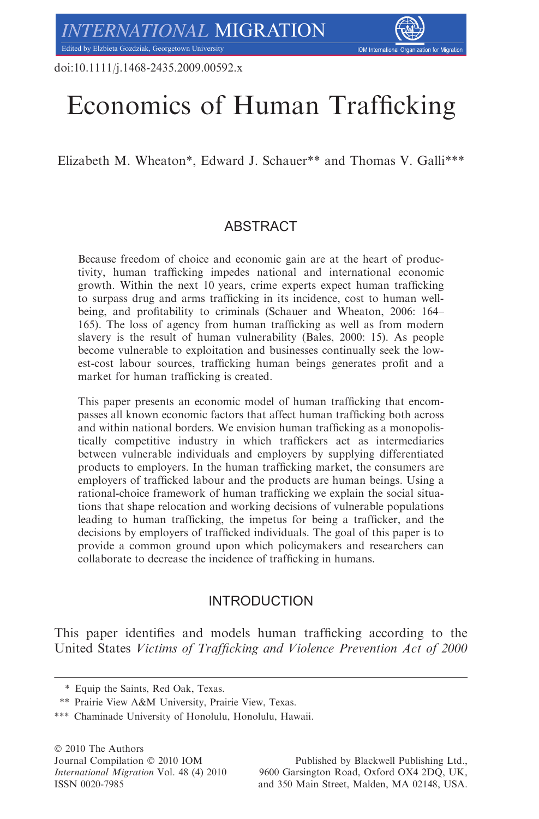doi:10.1111/j.1468-2435.2009.00592.x

# Economics of Human Trafficking

Elizabeth M. Wheaton\*, Edward J. Schauer\*\* and Thomas V. Galli\*\*\*

## **ABSTRACT**

Because freedom of choice and economic gain are at the heart of productivity, human trafficking impedes national and international economic growth. Within the next 10 years, crime experts expect human trafficking to surpass drug and arms trafficking in its incidence, cost to human wellbeing, and profitability to criminals (Schauer and Wheaton, 2006: 164– 165). The loss of agency from human trafficking as well as from modern slavery is the result of human vulnerability (Bales, 2000: 15). As people become vulnerable to exploitation and businesses continually seek the lowest-cost labour sources, trafficking human beings generates profit and a market for human trafficking is created.

This paper presents an economic model of human trafficking that encompasses all known economic factors that affect human trafficking both across and within national borders. We envision human trafficking as a monopolistically competitive industry in which traffickers act as intermediaries between vulnerable individuals and employers by supplying differentiated products to employers. In the human trafficking market, the consumers are employers of trafficked labour and the products are human beings. Using a rational-choice framework of human trafficking we explain the social situations that shape relocation and working decisions of vulnerable populations leading to human trafficking, the impetus for being a trafficker, and the decisions by employers of trafficked individuals. The goal of this paper is to provide a common ground upon which policymakers and researchers can collaborate to decrease the incidence of trafficking in humans.

## INTRODUCTION

This paper identifies and models human trafficking according to the United States Victims of Trafficking and Violence Prevention Act of 2000

© 2010 The Authors Journal Compilation  $@$  2010 IOM

Published by Blackwell Publishing Ltd., International Migration Vol. 48 (4) 2010 9600 Garsington Road, Oxford OX4 2DQ, UK,<br>
1SSN 0020-7985 9020-7985 1580, and 350 Main Street. Malden. MA 02148. USA. and 350 Main Street, Malden, MA 02148, USA.

<sup>\*</sup> Equip the Saints, Red Oak, Texas.

<sup>\*\*</sup> Prairie View A&M University, Prairie View, Texas.

<sup>\*\*\*</sup> Chaminade University of Honolulu, Honolulu, Hawaii.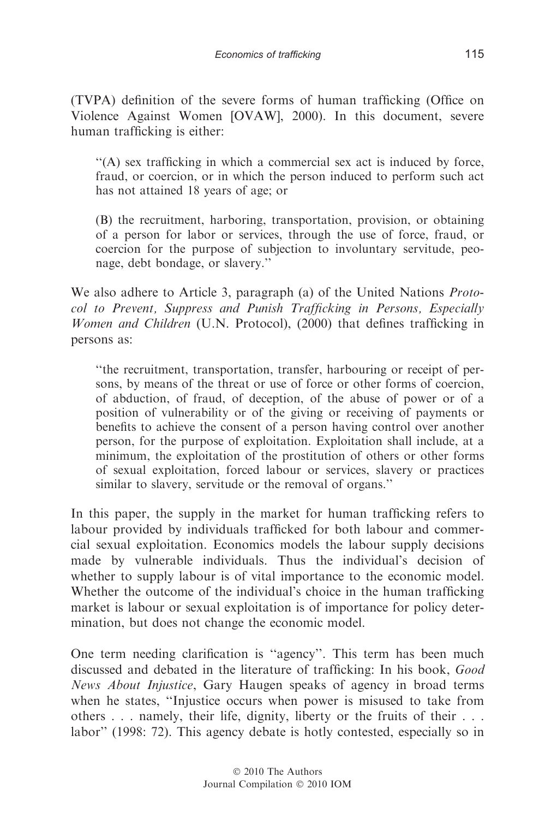(TVPA) definition of the severe forms of human trafficking (Office on Violence Against Women [OVAW], 2000). In this document, severe human trafficking is either:

''(A) sex trafficking in which a commercial sex act is induced by force, fraud, or coercion, or in which the person induced to perform such act has not attained 18 years of age; or

(B) the recruitment, harboring, transportation, provision, or obtaining of a person for labor or services, through the use of force, fraud, or coercion for the purpose of subjection to involuntary servitude, peonage, debt bondage, or slavery.''

We also adhere to Article 3, paragraph (a) of the United Nations Protocol to Prevent, Suppress and Punish Trafficking in Persons, Especially Women and Children (U.N. Protocol), (2000) that defines trafficking in persons as:

''the recruitment, transportation, transfer, harbouring or receipt of persons, by means of the threat or use of force or other forms of coercion, of abduction, of fraud, of deception, of the abuse of power or of a position of vulnerability or of the giving or receiving of payments or benefits to achieve the consent of a person having control over another person, for the purpose of exploitation. Exploitation shall include, at a minimum, the exploitation of the prostitution of others or other forms of sexual exploitation, forced labour or services, slavery or practices similar to slavery, servitude or the removal of organs.''

In this paper, the supply in the market for human trafficking refers to labour provided by individuals trafficked for both labour and commercial sexual exploitation. Economics models the labour supply decisions made by vulnerable individuals. Thus the individual's decision of whether to supply labour is of vital importance to the economic model. Whether the outcome of the individual's choice in the human trafficking market is labour or sexual exploitation is of importance for policy determination, but does not change the economic model.

One term needing clarification is ''agency''. This term has been much discussed and debated in the literature of trafficking: In his book, Good News About Injustice, Gary Haugen speaks of agency in broad terms when he states, ''Injustice occurs when power is misused to take from others . . . namely, their life, dignity, liberty or the fruits of their . . . labor'' (1998: 72). This agency debate is hotly contested, especially so in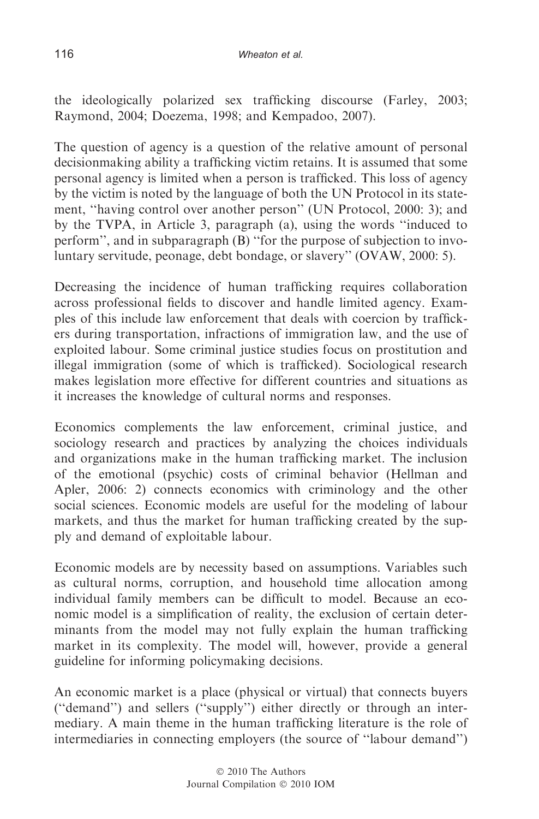the ideologically polarized sex trafficking discourse (Farley, 2003; Raymond, 2004; Doezema, 1998; and Kempadoo, 2007).

The question of agency is a question of the relative amount of personal decisionmaking ability a trafficking victim retains. It is assumed that some personal agency is limited when a person is trafficked. This loss of agency by the victim is noted by the language of both the UN Protocol in its statement, ''having control over another person'' (UN Protocol, 2000: 3); and by the TVPA, in Article 3, paragraph (a), using the words ''induced to perform'', and in subparagraph (B) ''for the purpose of subjection to involuntary servitude, peonage, debt bondage, or slavery'' (OVAW, 2000: 5).

Decreasing the incidence of human trafficking requires collaboration across professional fields to discover and handle limited agency. Examples of this include law enforcement that deals with coercion by traffickers during transportation, infractions of immigration law, and the use of exploited labour. Some criminal justice studies focus on prostitution and illegal immigration (some of which is trafficked). Sociological research makes legislation more effective for different countries and situations as it increases the knowledge of cultural norms and responses.

Economics complements the law enforcement, criminal justice, and sociology research and practices by analyzing the choices individuals and organizations make in the human trafficking market. The inclusion of the emotional (psychic) costs of criminal behavior (Hellman and Apler, 2006: 2) connects economics with criminology and the other social sciences. Economic models are useful for the modeling of labour markets, and thus the market for human trafficking created by the supply and demand of exploitable labour.

Economic models are by necessity based on assumptions. Variables such as cultural norms, corruption, and household time allocation among individual family members can be difficult to model. Because an economic model is a simplification of reality, the exclusion of certain determinants from the model may not fully explain the human trafficking market in its complexity. The model will, however, provide a general guideline for informing policymaking decisions.

An economic market is a place (physical or virtual) that connects buyers (''demand'') and sellers (''supply'') either directly or through an intermediary. A main theme in the human trafficking literature is the role of intermediaries in connecting employers (the source of ''labour demand'')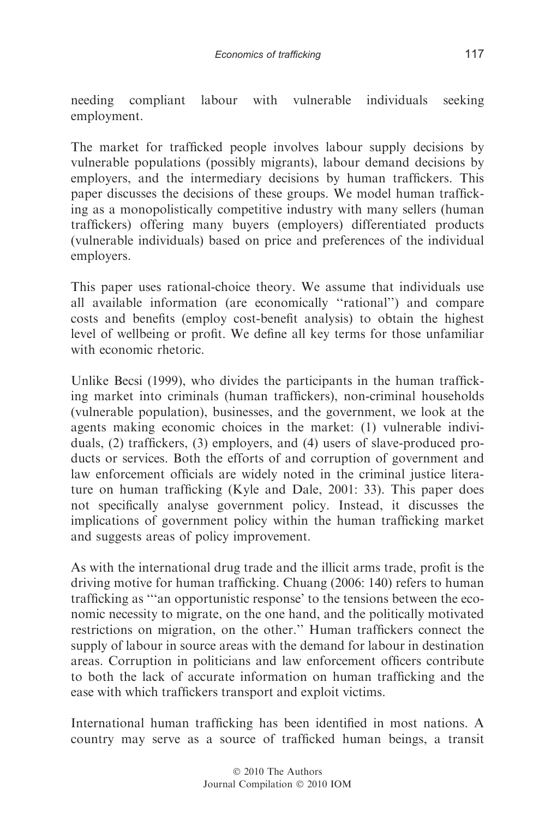needing compliant labour with vulnerable individuals seeking employment.

The market for trafficked people involves labour supply decisions by vulnerable populations (possibly migrants), labour demand decisions by employers, and the intermediary decisions by human traffickers. This paper discusses the decisions of these groups. We model human trafficking as a monopolistically competitive industry with many sellers (human traffickers) offering many buyers (employers) differentiated products (vulnerable individuals) based on price and preferences of the individual employers.

This paper uses rational-choice theory. We assume that individuals use all available information (are economically ''rational'') and compare costs and benefits (employ cost-benefit analysis) to obtain the highest level of wellbeing or profit. We define all key terms for those unfamiliar with economic rhetoric.

Unlike Becsi (1999), who divides the participants in the human trafficking market into criminals (human traffickers), non-criminal households (vulnerable population), businesses, and the government, we look at the agents making economic choices in the market: (1) vulnerable individuals, (2) traffickers, (3) employers, and (4) users of slave-produced products or services. Both the efforts of and corruption of government and law enforcement officials are widely noted in the criminal justice literature on human trafficking (Kyle and Dale, 2001: 33). This paper does not specifically analyse government policy. Instead, it discusses the implications of government policy within the human trafficking market and suggests areas of policy improvement.

As with the international drug trade and the illicit arms trade, profit is the driving motive for human trafficking. Chuang (2006: 140) refers to human trafficking as '''an opportunistic response' to the tensions between the economic necessity to migrate, on the one hand, and the politically motivated restrictions on migration, on the other.'' Human traffickers connect the supply of labour in source areas with the demand for labour in destination areas. Corruption in politicians and law enforcement officers contribute to both the lack of accurate information on human trafficking and the ease with which traffickers transport and exploit victims.

International human trafficking has been identified in most nations. A country may serve as a source of trafficked human beings, a transit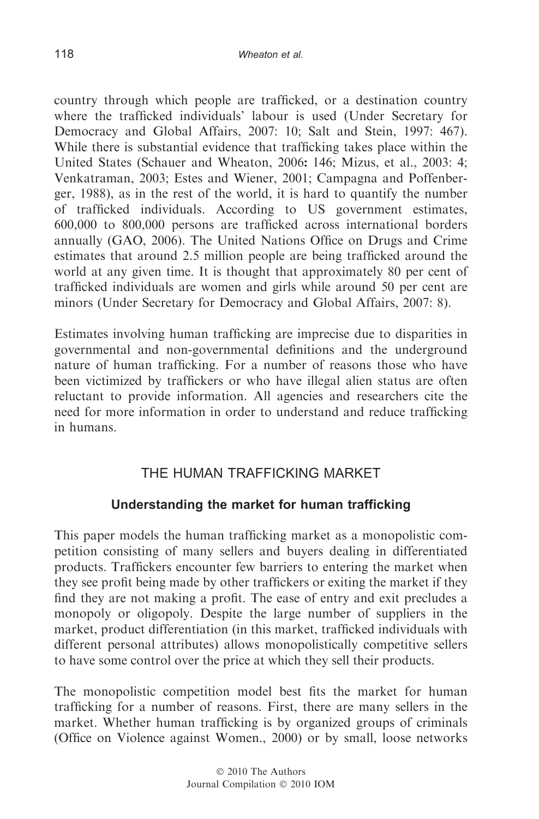country through which people are trafficked, or a destination country where the trafficked individuals' labour is used (Under Secretary for Democracy and Global Affairs, 2007: 10; Salt and Stein, 1997: 467). While there is substantial evidence that trafficking takes place within the United States (Schauer and Wheaton, 2006: 146; Mizus, et al., 2003: 4; Venkatraman, 2003; Estes and Wiener, 2001; Campagna and Poffenberger, 1988), as in the rest of the world, it is hard to quantify the number of trafficked individuals. According to US government estimates, 600,000 to 800,000 persons are trafficked across international borders annually (GAO, 2006). The United Nations Office on Drugs and Crime estimates that around 2.5 million people are being trafficked around the world at any given time. It is thought that approximately 80 per cent of trafficked individuals are women and girls while around 50 per cent are minors (Under Secretary for Democracy and Global Affairs, 2007: 8).

Estimates involving human trafficking are imprecise due to disparities in governmental and non-governmental definitions and the underground nature of human trafficking. For a number of reasons those who have been victimized by traffickers or who have illegal alien status are often reluctant to provide information. All agencies and researchers cite the need for more information in order to understand and reduce trafficking in humans.

## THE HUMAN TRAFFICKING MARKET

## Understanding the market for human trafficking

This paper models the human trafficking market as a monopolistic competition consisting of many sellers and buyers dealing in differentiated products. Traffickers encounter few barriers to entering the market when they see profit being made by other traffickers or exiting the market if they find they are not making a profit. The ease of entry and exit precludes a monopoly or oligopoly. Despite the large number of suppliers in the market, product differentiation (in this market, trafficked individuals with different personal attributes) allows monopolistically competitive sellers to have some control over the price at which they sell their products.

The monopolistic competition model best fits the market for human trafficking for a number of reasons. First, there are many sellers in the market. Whether human trafficking is by organized groups of criminals (Office on Violence against Women., 2000) or by small, loose networks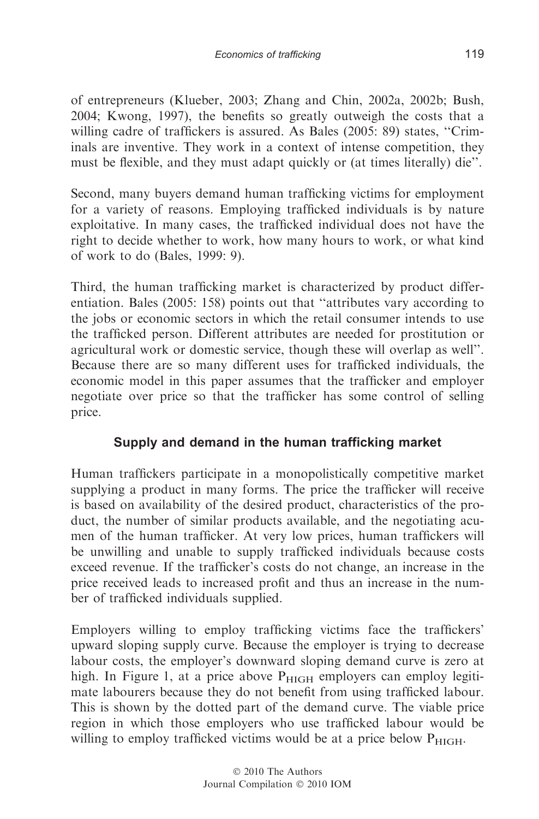of entrepreneurs (Klueber, 2003; Zhang and Chin, 2002a, 2002b; Bush, 2004; Kwong, 1997), the benefits so greatly outweigh the costs that a willing cadre of traffickers is assured. As Bales (2005: 89) states, ''Criminals are inventive. They work in a context of intense competition, they must be flexible, and they must adapt quickly or (at times literally) die''.

Second, many buyers demand human trafficking victims for employment for a variety of reasons. Employing trafficked individuals is by nature exploitative. In many cases, the trafficked individual does not have the right to decide whether to work, how many hours to work, or what kind of work to do (Bales, 1999: 9).

Third, the human trafficking market is characterized by product differentiation. Bales (2005: 158) points out that ''attributes vary according to the jobs or economic sectors in which the retail consumer intends to use the trafficked person. Different attributes are needed for prostitution or agricultural work or domestic service, though these will overlap as well''. Because there are so many different uses for trafficked individuals, the economic model in this paper assumes that the trafficker and employer negotiate over price so that the trafficker has some control of selling price.

## Supply and demand in the human trafficking market

Human traffickers participate in a monopolistically competitive market supplying a product in many forms. The price the trafficker will receive is based on availability of the desired product, characteristics of the product, the number of similar products available, and the negotiating acumen of the human trafficker. At very low prices, human traffickers will be unwilling and unable to supply trafficked individuals because costs exceed revenue. If the trafficker's costs do not change, an increase in the price received leads to increased profit and thus an increase in the number of trafficked individuals supplied.

Employers willing to employ trafficking victims face the traffickers' upward sloping supply curve. Because the employer is trying to decrease labour costs, the employer's downward sloping demand curve is zero at high. In Figure 1, at a price above P<sub>HIGH</sub> employers can employ legitimate labourers because they do not benefit from using trafficked labour. This is shown by the dotted part of the demand curve. The viable price region in which those employers who use trafficked labour would be willing to employ trafficked victims would be at a price below P<sub>HIGH</sub>.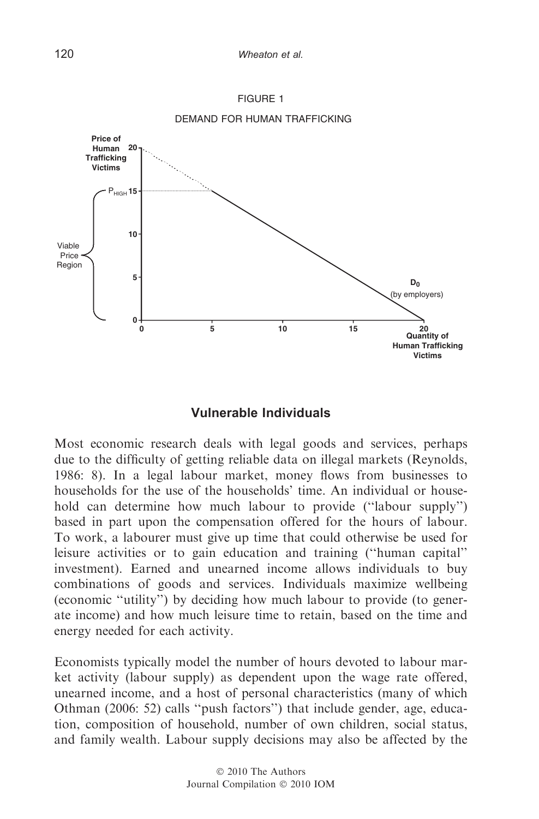





#### Vulnerable Individuals

Most economic research deals with legal goods and services, perhaps due to the difficulty of getting reliable data on illegal markets (Reynolds, 1986: 8). In a legal labour market, money flows from businesses to households for the use of the households' time. An individual or household can determine how much labour to provide ("labour supply") based in part upon the compensation offered for the hours of labour. To work, a labourer must give up time that could otherwise be used for leisure activities or to gain education and training (''human capital'' investment). Earned and unearned income allows individuals to buy combinations of goods and services. Individuals maximize wellbeing (economic ''utility'') by deciding how much labour to provide (to generate income) and how much leisure time to retain, based on the time and energy needed for each activity.

Economists typically model the number of hours devoted to labour market activity (labour supply) as dependent upon the wage rate offered, unearned income, and a host of personal characteristics (many of which Othman (2006: 52) calls ''push factors'') that include gender, age, education, composition of household, number of own children, social status, and family wealth. Labour supply decisions may also be affected by the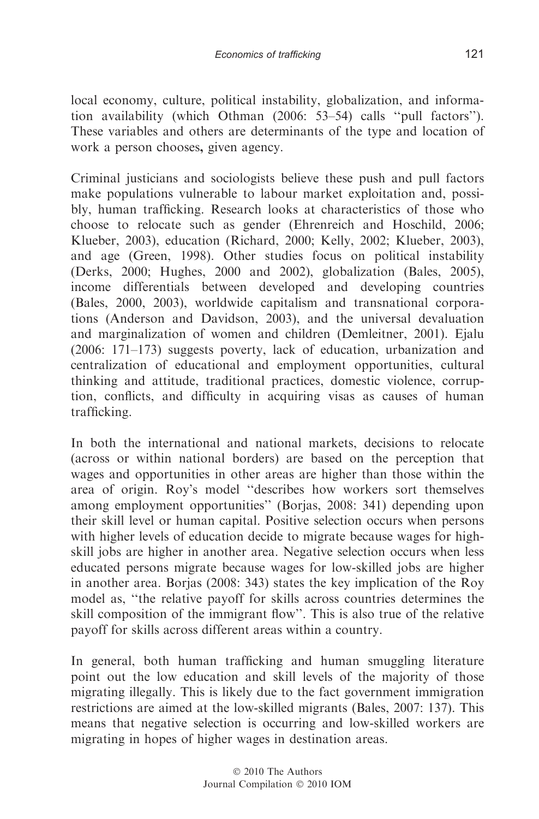local economy, culture, political instability, globalization, and information availability (which Othman (2006: 53–54) calls ''pull factors''). These variables and others are determinants of the type and location of work a person chooses, given agency.

Criminal justicians and sociologists believe these push and pull factors make populations vulnerable to labour market exploitation and, possibly, human trafficking. Research looks at characteristics of those who choose to relocate such as gender (Ehrenreich and Hoschild, 2006; Klueber, 2003), education (Richard, 2000; Kelly, 2002; Klueber, 2003), and age (Green, 1998). Other studies focus on political instability (Derks, 2000; Hughes, 2000 and 2002), globalization (Bales, 2005), income differentials between developed and developing countries (Bales, 2000, 2003), worldwide capitalism and transnational corporations (Anderson and Davidson, 2003), and the universal devaluation and marginalization of women and children (Demleitner, 2001). Ejalu (2006: 171–173) suggests poverty, lack of education, urbanization and centralization of educational and employment opportunities, cultural thinking and attitude, traditional practices, domestic violence, corruption, conflicts, and difficulty in acquiring visas as causes of human trafficking.

In both the international and national markets, decisions to relocate (across or within national borders) are based on the perception that wages and opportunities in other areas are higher than those within the area of origin. Roy's model ''describes how workers sort themselves among employment opportunities'' (Borjas, 2008: 341) depending upon their skill level or human capital. Positive selection occurs when persons with higher levels of education decide to migrate because wages for highskill jobs are higher in another area. Negative selection occurs when less educated persons migrate because wages for low-skilled jobs are higher in another area. Borjas (2008: 343) states the key implication of the Roy model as, ''the relative payoff for skills across countries determines the skill composition of the immigrant flow''. This is also true of the relative payoff for skills across different areas within a country.

In general, both human trafficking and human smuggling literature point out the low education and skill levels of the majority of those migrating illegally. This is likely due to the fact government immigration restrictions are aimed at the low-skilled migrants (Bales, 2007: 137). This means that negative selection is occurring and low-skilled workers are migrating in hopes of higher wages in destination areas.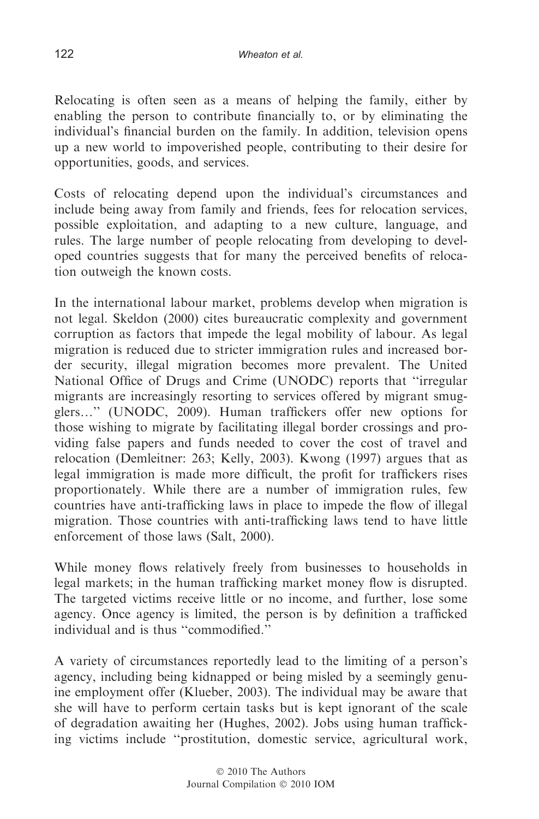Relocating is often seen as a means of helping the family, either by enabling the person to contribute financially to, or by eliminating the individual's financial burden on the family. In addition, television opens up a new world to impoverished people, contributing to their desire for opportunities, goods, and services.

Costs of relocating depend upon the individual's circumstances and include being away from family and friends, fees for relocation services, possible exploitation, and adapting to a new culture, language, and rules. The large number of people relocating from developing to developed countries suggests that for many the perceived benefits of relocation outweigh the known costs.

In the international labour market, problems develop when migration is not legal. Skeldon (2000) cites bureaucratic complexity and government corruption as factors that impede the legal mobility of labour. As legal migration is reduced due to stricter immigration rules and increased border security, illegal migration becomes more prevalent. The United National Office of Drugs and Crime (UNODC) reports that ''irregular migrants are increasingly resorting to services offered by migrant smugglers…'' (UNODC, 2009). Human traffickers offer new options for those wishing to migrate by facilitating illegal border crossings and providing false papers and funds needed to cover the cost of travel and relocation (Demleitner: 263; Kelly, 2003). Kwong (1997) argues that as legal immigration is made more difficult, the profit for traffickers rises proportionately. While there are a number of immigration rules, few countries have anti-trafficking laws in place to impede the flow of illegal migration. Those countries with anti-trafficking laws tend to have little enforcement of those laws (Salt, 2000).

While money flows relatively freely from businesses to households in legal markets; in the human trafficking market money flow is disrupted. The targeted victims receive little or no income, and further, lose some agency. Once agency is limited, the person is by definition a trafficked individual and is thus ''commodified.''

A variety of circumstances reportedly lead to the limiting of a person's agency, including being kidnapped or being misled by a seemingly genuine employment offer (Klueber, 2003). The individual may be aware that she will have to perform certain tasks but is kept ignorant of the scale of degradation awaiting her (Hughes, 2002). Jobs using human trafficking victims include ''prostitution, domestic service, agricultural work,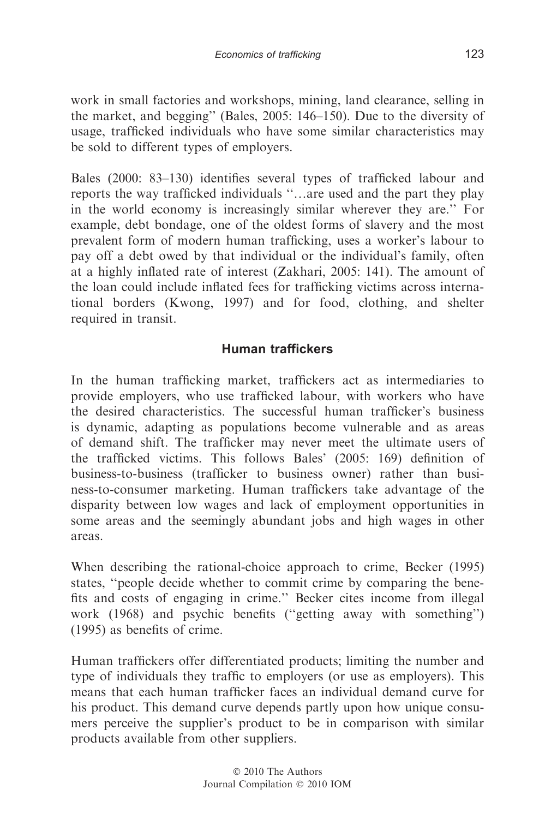work in small factories and workshops, mining, land clearance, selling in the market, and begging'' (Bales, 2005: 146–150). Due to the diversity of usage, trafficked individuals who have some similar characteristics may be sold to different types of employers.

Bales (2000: 83–130) identifies several types of trafficked labour and reports the way trafficked individuals ''…are used and the part they play in the world economy is increasingly similar wherever they are.'' For example, debt bondage, one of the oldest forms of slavery and the most prevalent form of modern human trafficking, uses a worker's labour to pay off a debt owed by that individual or the individual's family, often at a highly inflated rate of interest (Zakhari, 2005: 141). The amount of the loan could include inflated fees for trafficking victims across international borders (Kwong, 1997) and for food, clothing, and shelter required in transit.

#### Human traffickers

In the human trafficking market, traffickers act as intermediaries to provide employers, who use trafficked labour, with workers who have the desired characteristics. The successful human trafficker's business is dynamic, adapting as populations become vulnerable and as areas of demand shift. The trafficker may never meet the ultimate users of the trafficked victims. This follows Bales' (2005: 169) definition of business-to-business (trafficker to business owner) rather than business-to-consumer marketing. Human traffickers take advantage of the disparity between low wages and lack of employment opportunities in some areas and the seemingly abundant jobs and high wages in other areas.

When describing the rational-choice approach to crime, Becker (1995) states, ''people decide whether to commit crime by comparing the benefits and costs of engaging in crime.'' Becker cites income from illegal work (1968) and psychic benefits (''getting away with something'') (1995) as benefits of crime.

Human traffickers offer differentiated products; limiting the number and type of individuals they traffic to employers (or use as employers). This means that each human trafficker faces an individual demand curve for his product. This demand curve depends partly upon how unique consumers perceive the supplier's product to be in comparison with similar products available from other suppliers.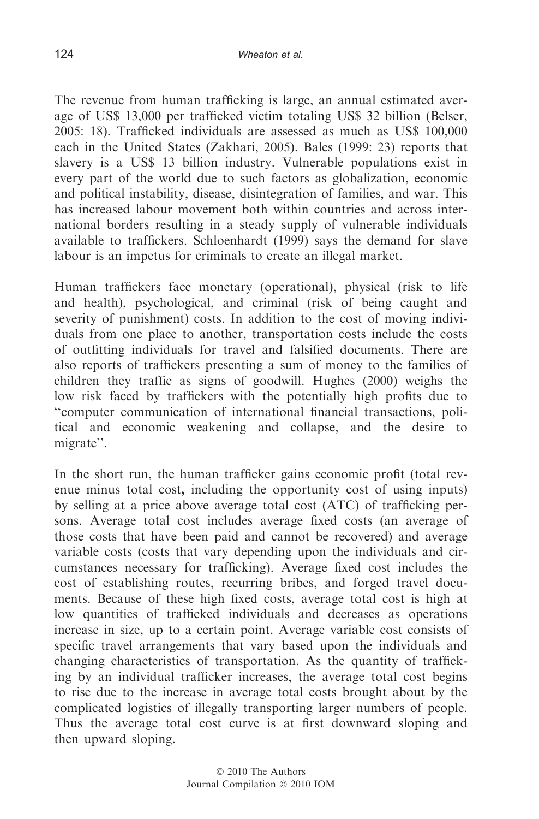The revenue from human trafficking is large, an annual estimated average of US\$ 13,000 per trafficked victim totaling US\$ 32 billion (Belser, 2005: 18). Trafficked individuals are assessed as much as US\$ 100,000 each in the United States (Zakhari, 2005). Bales (1999: 23) reports that slavery is a US\$ 13 billion industry. Vulnerable populations exist in every part of the world due to such factors as globalization, economic and political instability, disease, disintegration of families, and war. This has increased labour movement both within countries and across international borders resulting in a steady supply of vulnerable individuals available to traffickers. Schloenhardt (1999) says the demand for slave labour is an impetus for criminals to create an illegal market.

Human traffickers face monetary (operational), physical (risk to life and health), psychological, and criminal (risk of being caught and severity of punishment) costs. In addition to the cost of moving individuals from one place to another, transportation costs include the costs of outfitting individuals for travel and falsified documents. There are also reports of traffickers presenting a sum of money to the families of children they traffic as signs of goodwill. Hughes (2000) weighs the low risk faced by traffickers with the potentially high profits due to ''computer communication of international financial transactions, political and economic weakening and collapse, and the desire to migrate''.

In the short run, the human trafficker gains economic profit (total revenue minus total cost, including the opportunity cost of using inputs) by selling at a price above average total cost (ATC) of trafficking persons. Average total cost includes average fixed costs (an average of those costs that have been paid and cannot be recovered) and average variable costs (costs that vary depending upon the individuals and circumstances necessary for trafficking). Average fixed cost includes the cost of establishing routes, recurring bribes, and forged travel documents. Because of these high fixed costs, average total cost is high at low quantities of trafficked individuals and decreases as operations increase in size, up to a certain point. Average variable cost consists of specific travel arrangements that vary based upon the individuals and changing characteristics of transportation. As the quantity of trafficking by an individual trafficker increases, the average total cost begins to rise due to the increase in average total costs brought about by the complicated logistics of illegally transporting larger numbers of people. Thus the average total cost curve is at first downward sloping and then upward sloping.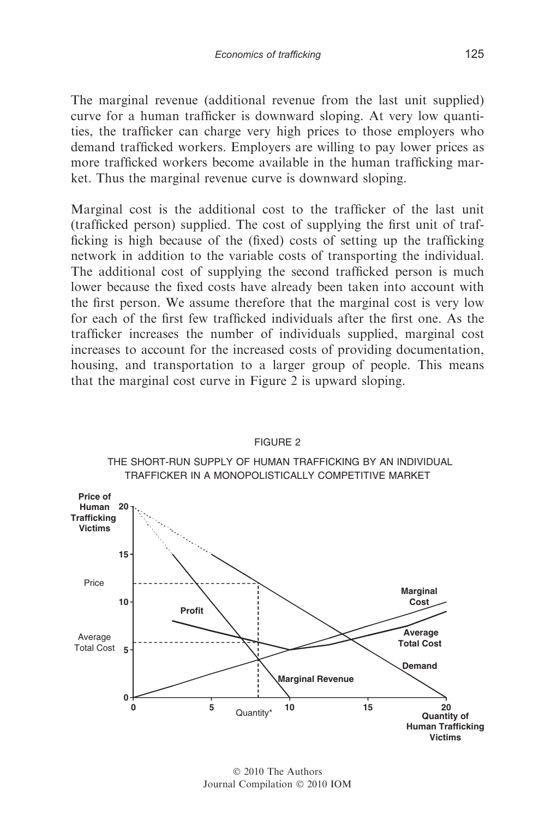The marginal revenue (additional revenue from the last unit supplied) curve for a human trafficker is downward sloping. At very low quantities, the trafficker can charge very high prices to those employers who demand trafficked workers. Employers are willing to pay lower prices as more trafficked workers become available in the human trafficking market. Thus the marginal revenue curve is downward sloping.

Marginal cost is the additional cost to the trafficker of the last unit (trafficked person) supplied. The cost of supplying the first unit of trafficking is high because of the (fixed) costs of setting up the trafficking network in addition to the variable costs of transporting the individual. The additional cost of supplying the second trafficked person is much lower because the fixed costs have already been taken into account with the first person. We assume therefore that the marginal cost is very low for each of the first few trafficked individuals after the first one. As the trafficker increases the number of individuals supplied, marginal cost increases to account for the increased costs of providing documentation, housing, and transportation to a larger group of people. This means that the marginal cost curve in Figure 2 is upward sloping.



FIGURE 2

© 2010 The Authors Journal Compilation © 2010 IOM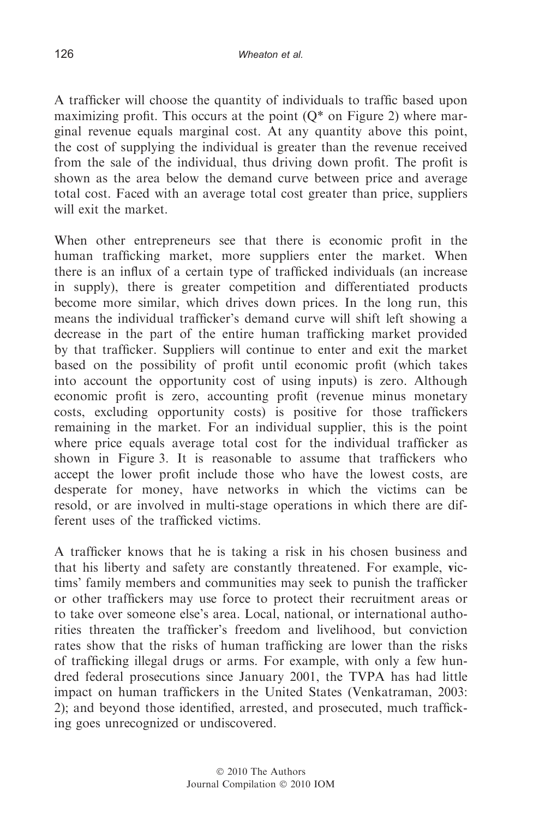A trafficker will choose the quantity of individuals to traffic based upon maximizing profit. This occurs at the point  $(O^*)$  on Figure 2) where marginal revenue equals marginal cost. At any quantity above this point, the cost of supplying the individual is greater than the revenue received from the sale of the individual, thus driving down profit. The profit is shown as the area below the demand curve between price and average total cost. Faced with an average total cost greater than price, suppliers will exit the market.

When other entrepreneurs see that there is economic profit in the human trafficking market, more suppliers enter the market. When there is an influx of a certain type of trafficked individuals (an increase in supply), there is greater competition and differentiated products become more similar, which drives down prices. In the long run, this means the individual trafficker's demand curve will shift left showing a decrease in the part of the entire human trafficking market provided by that trafficker. Suppliers will continue to enter and exit the market based on the possibility of profit until economic profit (which takes into account the opportunity cost of using inputs) is zero. Although economic profit is zero, accounting profit (revenue minus monetary costs, excluding opportunity costs) is positive for those traffickers remaining in the market. For an individual supplier, this is the point where price equals average total cost for the individual trafficker as shown in Figure 3. It is reasonable to assume that traffickers who accept the lower profit include those who have the lowest costs, are desperate for money, have networks in which the victims can be resold, or are involved in multi-stage operations in which there are different uses of the trafficked victims.

A trafficker knows that he is taking a risk in his chosen business and that his liberty and safety are constantly threatened. For example, victims' family members and communities may seek to punish the trafficker or other traffickers may use force to protect their recruitment areas or to take over someone else's area. Local, national, or international authorities threaten the trafficker's freedom and livelihood, but conviction rates show that the risks of human trafficking are lower than the risks of trafficking illegal drugs or arms. For example, with only a few hundred federal prosecutions since January 2001, the TVPA has had little impact on human traffickers in the United States (Venkatraman, 2003: 2); and beyond those identified, arrested, and prosecuted, much trafficking goes unrecognized or undiscovered.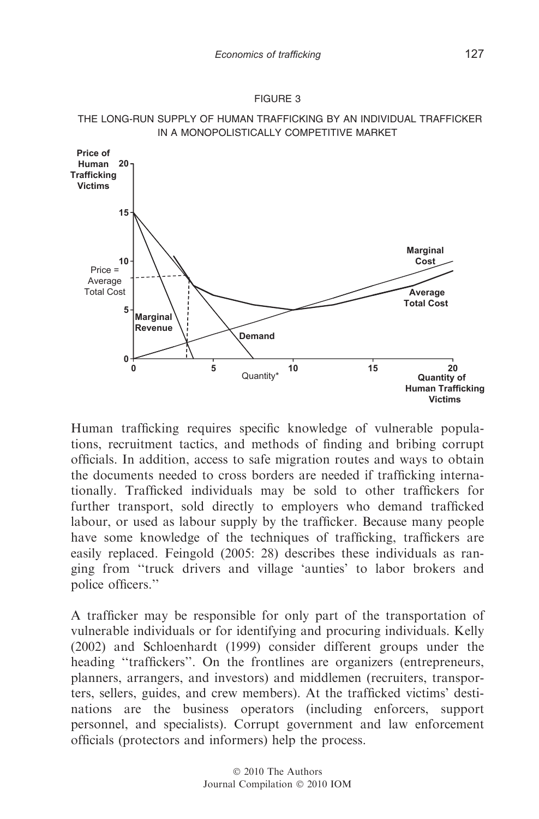



#### THE LONG-RUN SUPPLY OF HUMAN TRAFFICKING BY AN INDIVIDUAL TRAFFICKER IN A MONOPOLISTICALLY COMPETITIVE MARKET

Human trafficking requires specific knowledge of vulnerable populations, recruitment tactics, and methods of finding and bribing corrupt officials. In addition, access to safe migration routes and ways to obtain the documents needed to cross borders are needed if trafficking internationally. Trafficked individuals may be sold to other traffickers for further transport, sold directly to employers who demand trafficked labour, or used as labour supply by the trafficker. Because many people have some knowledge of the techniques of trafficking, traffickers are easily replaced. Feingold (2005: 28) describes these individuals as ranging from ''truck drivers and village 'aunties' to labor brokers and police officers.''

A trafficker may be responsible for only part of the transportation of vulnerable individuals or for identifying and procuring individuals. Kelly (2002) and Schloenhardt (1999) consider different groups under the heading ''traffickers''. On the frontlines are organizers (entrepreneurs, planners, arrangers, and investors) and middlemen (recruiters, transporters, sellers, guides, and crew members). At the trafficked victims' destinations are the business operators (including enforcers, support personnel, and specialists). Corrupt government and law enforcement officials (protectors and informers) help the process.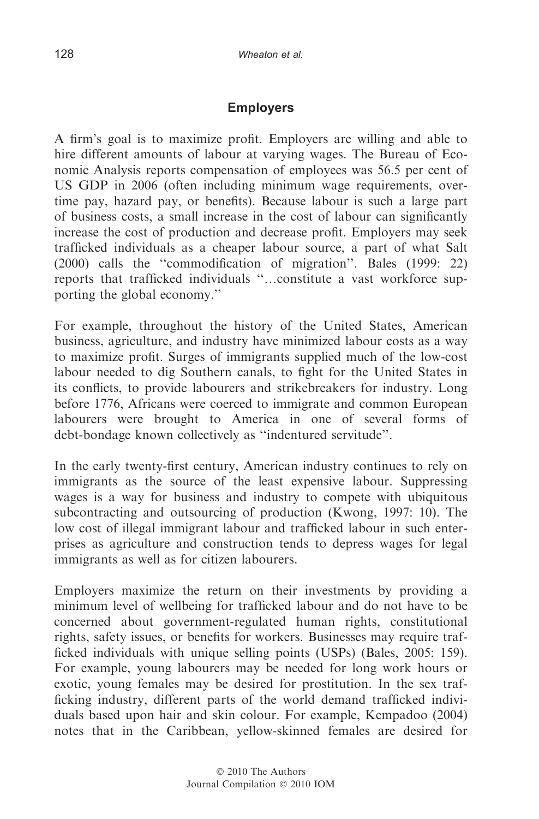#### Employers

A firm's goal is to maximize profit. Employers are willing and able to hire different amounts of labour at varying wages. The Bureau of Economic Analysis reports compensation of employees was 56.5 per cent of US GDP in 2006 (often including minimum wage requirements, overtime pay, hazard pay, or benefits). Because labour is such a large part of business costs, a small increase in the cost of labour can significantly increase the cost of production and decrease profit. Employers may seek trafficked individuals as a cheaper labour source, a part of what Salt (2000) calls the ''commodification of migration''. Bales (1999: 22) reports that trafficked individuals ''…constitute a vast workforce supporting the global economy.''

For example, throughout the history of the United States, American business, agriculture, and industry have minimized labour costs as a way to maximize profit. Surges of immigrants supplied much of the low-cost labour needed to dig Southern canals, to fight for the United States in its conflicts, to provide labourers and strikebreakers for industry. Long before 1776, Africans were coerced to immigrate and common European labourers were brought to America in one of several forms of debt-bondage known collectively as ''indentured servitude''.

In the early twenty-first century, American industry continues to rely on immigrants as the source of the least expensive labour. Suppressing wages is a way for business and industry to compete with ubiquitous subcontracting and outsourcing of production (Kwong, 1997: 10). The low cost of illegal immigrant labour and trafficked labour in such enterprises as agriculture and construction tends to depress wages for legal immigrants as well as for citizen labourers.

Employers maximize the return on their investments by providing a minimum level of wellbeing for trafficked labour and do not have to be concerned about government-regulated human rights, constitutional rights, safety issues, or benefits for workers. Businesses may require trafficked individuals with unique selling points (USPs) (Bales, 2005: 159). For example, young labourers may be needed for long work hours or exotic, young females may be desired for prostitution. In the sex trafficking industry, different parts of the world demand trafficked individuals based upon hair and skin colour. For example, Kempadoo (2004) notes that in the Caribbean, yellow-skinned females are desired for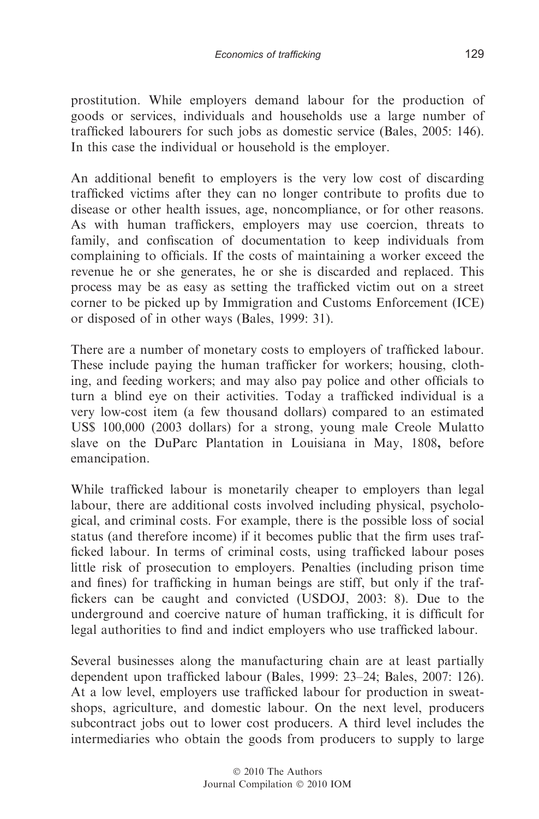prostitution. While employers demand labour for the production of goods or services, individuals and households use a large number of trafficked labourers for such jobs as domestic service (Bales, 2005: 146). In this case the individual or household is the employer.

An additional benefit to employers is the very low cost of discarding trafficked victims after they can no longer contribute to profits due to disease or other health issues, age, noncompliance, or for other reasons. As with human traffickers, employers may use coercion, threats to family, and confiscation of documentation to keep individuals from complaining to officials. If the costs of maintaining a worker exceed the revenue he or she generates, he or she is discarded and replaced. This process may be as easy as setting the trafficked victim out on a street corner to be picked up by Immigration and Customs Enforcement (ICE) or disposed of in other ways (Bales, 1999: 31).

There are a number of monetary costs to employers of trafficked labour. These include paying the human trafficker for workers; housing, clothing, and feeding workers; and may also pay police and other officials to turn a blind eye on their activities. Today a trafficked individual is a very low-cost item (a few thousand dollars) compared to an estimated US\$ 100,000 (2003 dollars) for a strong, young male Creole Mulatto slave on the DuParc Plantation in Louisiana in May, 1808, before emancipation.

While trafficked labour is monetarily cheaper to employers than legal labour, there are additional costs involved including physical, psychological, and criminal costs. For example, there is the possible loss of social status (and therefore income) if it becomes public that the firm uses trafficked labour. In terms of criminal costs, using trafficked labour poses little risk of prosecution to employers. Penalties (including prison time and fines) for trafficking in human beings are stiff, but only if the traffickers can be caught and convicted (USDOJ, 2003: 8). Due to the underground and coercive nature of human trafficking, it is difficult for legal authorities to find and indict employers who use trafficked labour.

Several businesses along the manufacturing chain are at least partially dependent upon trafficked labour (Bales, 1999: 23–24; Bales, 2007: 126). At a low level, employers use trafficked labour for production in sweatshops, agriculture, and domestic labour. On the next level, producers subcontract jobs out to lower cost producers. A third level includes the intermediaries who obtain the goods from producers to supply to large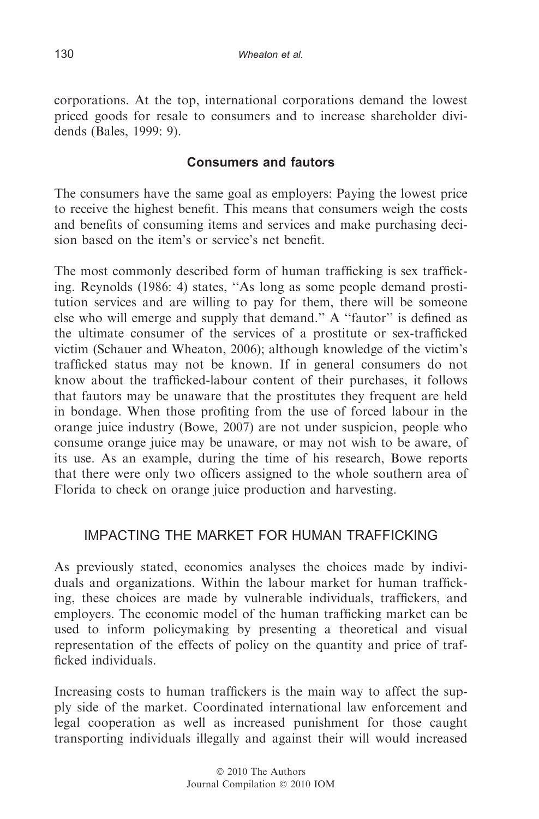corporations. At the top, international corporations demand the lowest priced goods for resale to consumers and to increase shareholder dividends (Bales, 1999: 9).

#### Consumers and fautors

The consumers have the same goal as employers: Paying the lowest price to receive the highest benefit. This means that consumers weigh the costs and benefits of consuming items and services and make purchasing decision based on the item's or service's net benefit.

The most commonly described form of human trafficking is sex trafficking. Reynolds (1986: 4) states, ''As long as some people demand prostitution services and are willing to pay for them, there will be someone else who will emerge and supply that demand.'' A ''fautor'' is defined as the ultimate consumer of the services of a prostitute or sex-trafficked victim (Schauer and Wheaton, 2006); although knowledge of the victim's trafficked status may not be known. If in general consumers do not know about the trafficked-labour content of their purchases, it follows that fautors may be unaware that the prostitutes they frequent are held in bondage. When those profiting from the use of forced labour in the orange juice industry (Bowe, 2007) are not under suspicion, people who consume orange juice may be unaware, or may not wish to be aware, of its use. As an example, during the time of his research, Bowe reports that there were only two officers assigned to the whole southern area of Florida to check on orange juice production and harvesting.

## IMPACTING THE MARKET FOR HUMAN TRAFFICKING

As previously stated, economics analyses the choices made by individuals and organizations. Within the labour market for human trafficking, these choices are made by vulnerable individuals, traffickers, and employers. The economic model of the human trafficking market can be used to inform policymaking by presenting a theoretical and visual representation of the effects of policy on the quantity and price of trafficked individuals.

Increasing costs to human traffickers is the main way to affect the supply side of the market. Coordinated international law enforcement and legal cooperation as well as increased punishment for those caught transporting individuals illegally and against their will would increased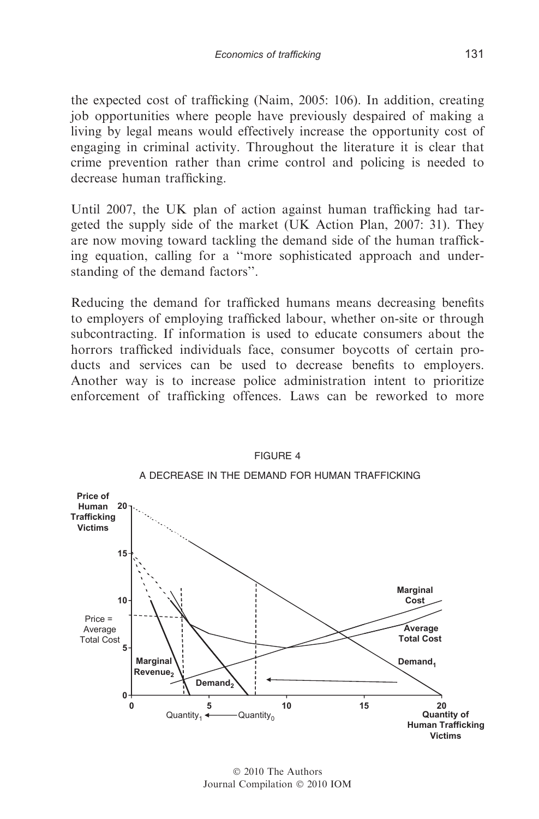the expected cost of trafficking (Naim, 2005: 106). In addition, creating job opportunities where people have previously despaired of making a living by legal means would effectively increase the opportunity cost of engaging in criminal activity. Throughout the literature it is clear that crime prevention rather than crime control and policing is needed to decrease human trafficking.

Until 2007, the UK plan of action against human trafficking had targeted the supply side of the market (UK Action Plan, 2007: 31). They are now moving toward tackling the demand side of the human trafficking equation, calling for a ''more sophisticated approach and understanding of the demand factors''.

Reducing the demand for trafficked humans means decreasing benefits to employers of employing trafficked labour, whether on-site or through subcontracting. If information is used to educate consumers about the horrors trafficked individuals face, consumer boycotts of certain products and services can be used to decrease benefits to employers. Another way is to increase police administration intent to prioritize enforcement of trafficking offences. Laws can be reworked to more



FIGURE 4

© 2010 The Authors Journal Compilation © 2010 IOM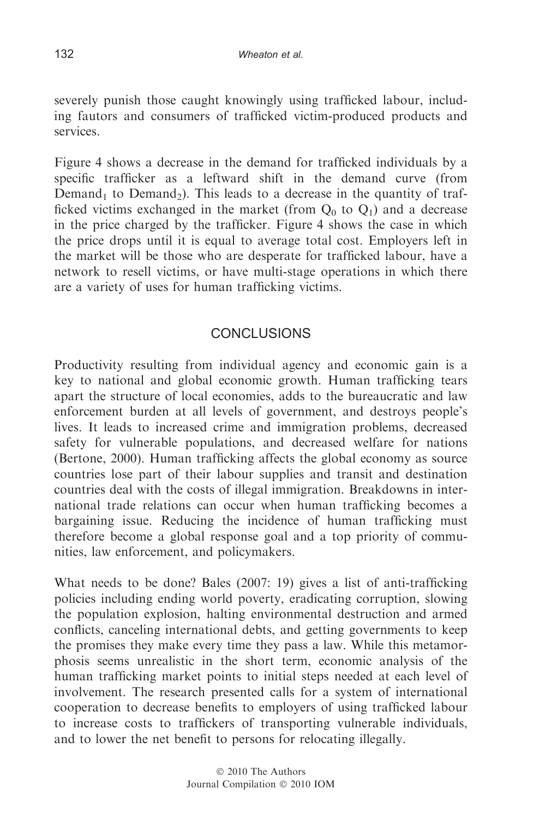severely punish those caught knowingly using trafficked labour, including fautors and consumers of trafficked victim-produced products and services.

Figure 4 shows a decrease in the demand for trafficked individuals by a specific trafficker as a leftward shift in the demand curve (from Demand<sub>1</sub> to Demand<sub>2</sub>). This leads to a decrease in the quantity of trafficked victims exchanged in the market (from  $Q_0$  to  $Q_1$ ) and a decrease in the price charged by the trafficker. Figure 4 shows the case in which the price drops until it is equal to average total cost. Employers left in the market will be those who are desperate for trafficked labour, have a network to resell victims, or have multi-stage operations in which there are a variety of uses for human trafficking victims.

## **CONCLUSIONS**

Productivity resulting from individual agency and economic gain is a key to national and global economic growth. Human trafficking tears apart the structure of local economies, adds to the bureaucratic and law enforcement burden at all levels of government, and destroys people's lives. It leads to increased crime and immigration problems, decreased safety for vulnerable populations, and decreased welfare for nations (Bertone, 2000). Human trafficking affects the global economy as source countries lose part of their labour supplies and transit and destination countries deal with the costs of illegal immigration. Breakdowns in international trade relations can occur when human trafficking becomes a bargaining issue. Reducing the incidence of human trafficking must therefore become a global response goal and a top priority of communities, law enforcement, and policymakers.

What needs to be done? Bales (2007: 19) gives a list of anti-trafficking policies including ending world poverty, eradicating corruption, slowing the population explosion, halting environmental destruction and armed conflicts, canceling international debts, and getting governments to keep the promises they make every time they pass a law. While this metamorphosis seems unrealistic in the short term, economic analysis of the human trafficking market points to initial steps needed at each level of involvement. The research presented calls for a system of international cooperation to decrease benefits to employers of using trafficked labour to increase costs to traffickers of transporting vulnerable individuals, and to lower the net benefit to persons for relocating illegally.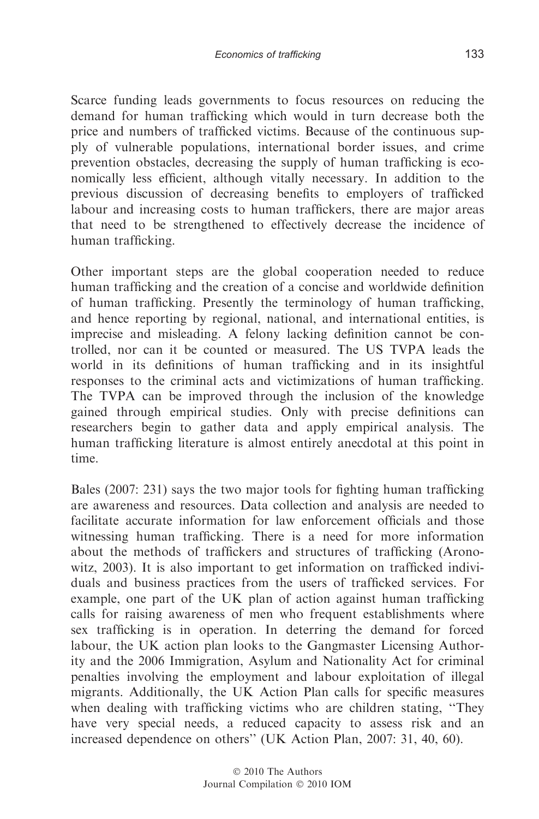Scarce funding leads governments to focus resources on reducing the demand for human trafficking which would in turn decrease both the price and numbers of trafficked victims. Because of the continuous supply of vulnerable populations, international border issues, and crime prevention obstacles, decreasing the supply of human trafficking is economically less efficient, although vitally necessary. In addition to the previous discussion of decreasing benefits to employers of trafficked labour and increasing costs to human traffickers, there are major areas that need to be strengthened to effectively decrease the incidence of human trafficking.

Other important steps are the global cooperation needed to reduce human trafficking and the creation of a concise and worldwide definition of human trafficking. Presently the terminology of human trafficking, and hence reporting by regional, national, and international entities, is imprecise and misleading. A felony lacking definition cannot be controlled, nor can it be counted or measured. The US TVPA leads the world in its definitions of human trafficking and in its insightful responses to the criminal acts and victimizations of human trafficking. The TVPA can be improved through the inclusion of the knowledge gained through empirical studies. Only with precise definitions can researchers begin to gather data and apply empirical analysis. The human trafficking literature is almost entirely anecdotal at this point in time.

Bales (2007: 231) says the two major tools for fighting human trafficking are awareness and resources. Data collection and analysis are needed to facilitate accurate information for law enforcement officials and those witnessing human trafficking. There is a need for more information about the methods of traffickers and structures of trafficking (Aronowitz, 2003). It is also important to get information on trafficked individuals and business practices from the users of trafficked services. For example, one part of the UK plan of action against human trafficking calls for raising awareness of men who frequent establishments where sex trafficking is in operation. In deterring the demand for forced labour, the UK action plan looks to the Gangmaster Licensing Authority and the 2006 Immigration, Asylum and Nationality Act for criminal penalties involving the employment and labour exploitation of illegal migrants. Additionally, the UK Action Plan calls for specific measures when dealing with trafficking victims who are children stating, ''They have very special needs, a reduced capacity to assess risk and an increased dependence on others'' (UK Action Plan, 2007: 31, 40, 60).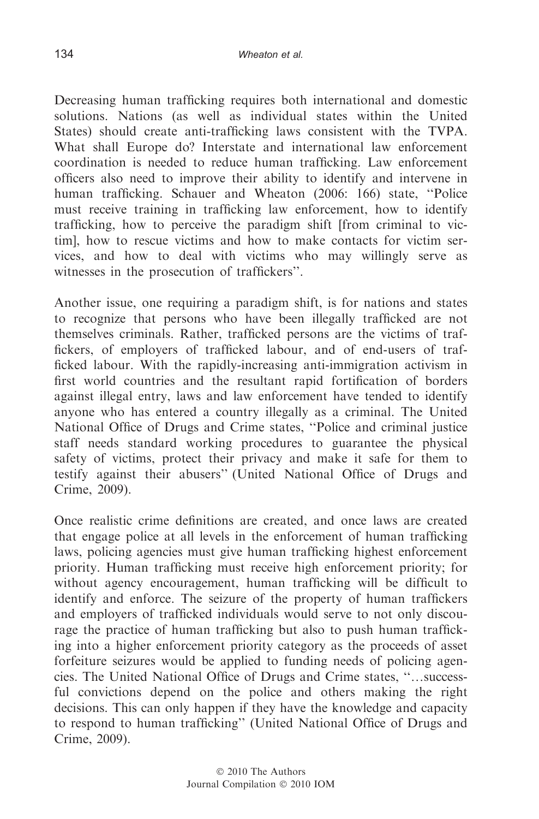Decreasing human trafficking requires both international and domestic solutions. Nations (as well as individual states within the United States) should create anti-trafficking laws consistent with the TVPA. What shall Europe do? Interstate and international law enforcement coordination is needed to reduce human trafficking. Law enforcement officers also need to improve their ability to identify and intervene in human trafficking. Schauer and Wheaton (2006: 166) state, ''Police must receive training in trafficking law enforcement, how to identify trafficking, how to perceive the paradigm shift [from criminal to victim], how to rescue victims and how to make contacts for victim services, and how to deal with victims who may willingly serve as witnesses in the prosecution of traffickers''.

Another issue, one requiring a paradigm shift, is for nations and states to recognize that persons who have been illegally trafficked are not themselves criminals. Rather, trafficked persons are the victims of traffickers, of employers of trafficked labour, and of end-users of trafficked labour. With the rapidly-increasing anti-immigration activism in first world countries and the resultant rapid fortification of borders against illegal entry, laws and law enforcement have tended to identify anyone who has entered a country illegally as a criminal. The United National Office of Drugs and Crime states, ''Police and criminal justice staff needs standard working procedures to guarantee the physical safety of victims, protect their privacy and make it safe for them to testify against their abusers'' (United National Office of Drugs and Crime, 2009).

Once realistic crime definitions are created, and once laws are created that engage police at all levels in the enforcement of human trafficking laws, policing agencies must give human trafficking highest enforcement priority. Human trafficking must receive high enforcement priority; for without agency encouragement, human trafficking will be difficult to identify and enforce. The seizure of the property of human traffickers and employers of trafficked individuals would serve to not only discourage the practice of human trafficking but also to push human trafficking into a higher enforcement priority category as the proceeds of asset forfeiture seizures would be applied to funding needs of policing agencies. The United National Office of Drugs and Crime states, ''…successful convictions depend on the police and others making the right decisions. This can only happen if they have the knowledge and capacity to respond to human trafficking'' (United National Office of Drugs and Crime, 2009).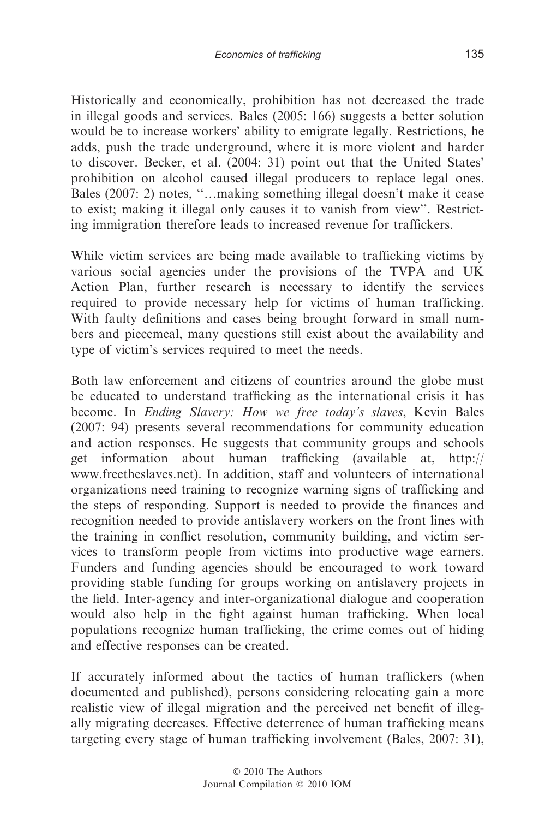Historically and economically, prohibition has not decreased the trade in illegal goods and services. Bales (2005: 166) suggests a better solution would be to increase workers' ability to emigrate legally. Restrictions, he adds, push the trade underground, where it is more violent and harder to discover. Becker, et al. (2004: 31) point out that the United States' prohibition on alcohol caused illegal producers to replace legal ones. Bales (2007: 2) notes, ''…making something illegal doesn't make it cease to exist; making it illegal only causes it to vanish from view''. Restricting immigration therefore leads to increased revenue for traffickers.

While victim services are being made available to trafficking victims by various social agencies under the provisions of the TVPA and UK Action Plan, further research is necessary to identify the services required to provide necessary help for victims of human trafficking. With faulty definitions and cases being brought forward in small numbers and piecemeal, many questions still exist about the availability and type of victim's services required to meet the needs.

Both law enforcement and citizens of countries around the globe must be educated to understand trafficking as the international crisis it has become. In Ending Slavery: How we free today's slaves, Kevin Bales (2007: 94) presents several recommendations for community education and action responses. He suggests that community groups and schools get information about human trafficking (available at, http:// www.freetheslaves.net). In addition, staff and volunteers of international organizations need training to recognize warning signs of trafficking and the steps of responding. Support is needed to provide the finances and recognition needed to provide antislavery workers on the front lines with the training in conflict resolution, community building, and victim services to transform people from victims into productive wage earners. Funders and funding agencies should be encouraged to work toward providing stable funding for groups working on antislavery projects in the field. Inter-agency and inter-organizational dialogue and cooperation would also help in the fight against human trafficking. When local populations recognize human trafficking, the crime comes out of hiding and effective responses can be created.

If accurately informed about the tactics of human traffickers (when documented and published), persons considering relocating gain a more realistic view of illegal migration and the perceived net benefit of illegally migrating decreases. Effective deterrence of human trafficking means targeting every stage of human trafficking involvement (Bales, 2007: 31),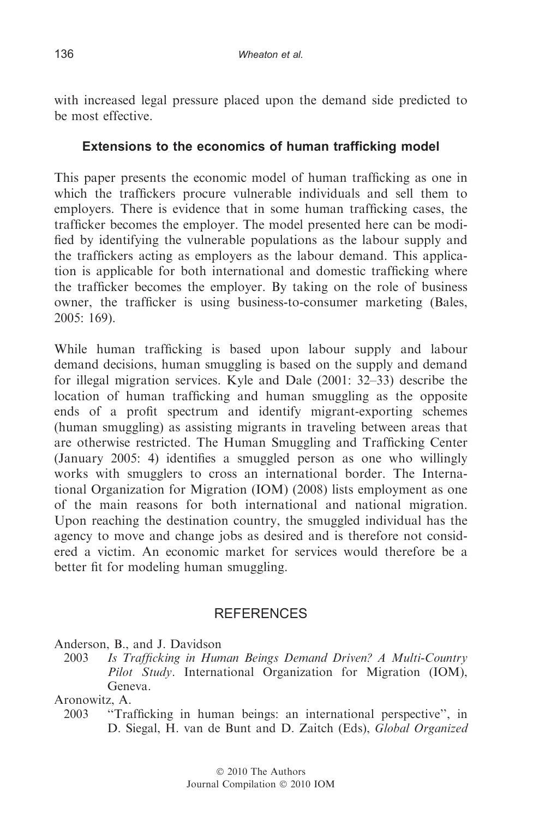with increased legal pressure placed upon the demand side predicted to be most effective.

#### Extensions to the economics of human trafficking model

This paper presents the economic model of human trafficking as one in which the traffickers procure vulnerable individuals and sell them to employers. There is evidence that in some human trafficking cases, the trafficker becomes the employer. The model presented here can be modified by identifying the vulnerable populations as the labour supply and the traffickers acting as employers as the labour demand. This application is applicable for both international and domestic trafficking where the trafficker becomes the employer. By taking on the role of business owner, the trafficker is using business-to-consumer marketing (Bales, 2005: 169).

While human trafficking is based upon labour supply and labour demand decisions, human smuggling is based on the supply and demand for illegal migration services. Kyle and Dale (2001: 32–33) describe the location of human trafficking and human smuggling as the opposite ends of a profit spectrum and identify migrant-exporting schemes (human smuggling) as assisting migrants in traveling between areas that are otherwise restricted. The Human Smuggling and Trafficking Center (January 2005: 4) identifies a smuggled person as one who willingly works with smugglers to cross an international border. The International Organization for Migration (IOM) (2008) lists employment as one of the main reasons for both international and national migration. Upon reaching the destination country, the smuggled individual has the agency to move and change jobs as desired and is therefore not considered a victim. An economic market for services would therefore be a better fit for modeling human smuggling.

#### **REFERENCES**

Anderson, B., and J. Davidson

2003 Is Trafficking in Human Beings Demand Driven? A Multi-Country Pilot Study. International Organization for Migration (IOM), Geneva.

Aronowitz, A.

2003 ''Trafficking in human beings: an international perspective'', in D. Siegal, H. van de Bunt and D. Zaitch (Eds), Global Organized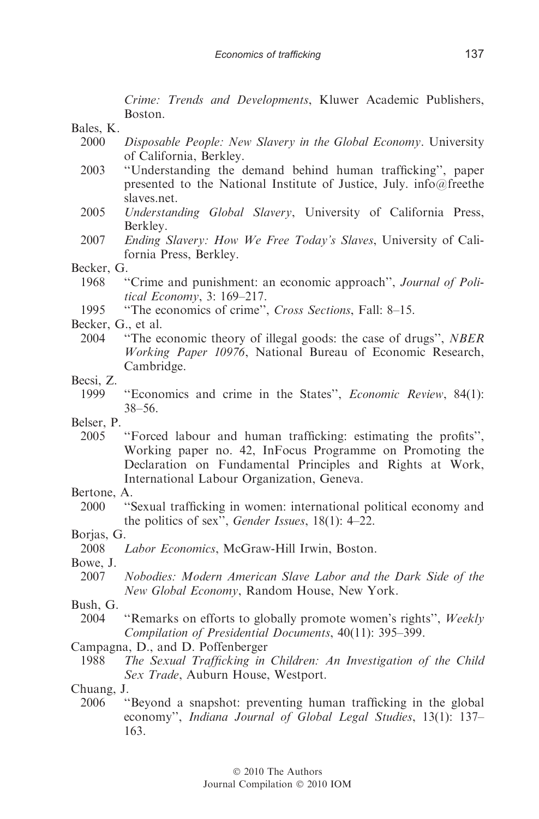Crime: Trends and Developments, Kluwer Academic Publishers, Boston.

#### Bales, K.

- 2000 Disposable People: New Slavery in the Global Economy. University of California, Berkley.
- 2003 ''Understanding the demand behind human trafficking'', paper presented to the National Institute of Justice, July. info@freethe slaves.net.
- 2005 Understanding Global Slavery, University of California Press, Berkley.
- 2007 Ending Slavery: How We Free Today's Slaves, University of California Press, Berkley.

- 1968 ''Crime and punishment: an economic approach'', Journal of Political Economy, 3: 169–217.
- 1995 ''The economics of crime'', Cross Sections, Fall: 8–15.

Becker, G., et al.

- 2004 ''The economic theory of illegal goods: the case of drugs'', NBER Working Paper 10976, National Bureau of Economic Research, Cambridge.
- Becsi, Z.
	- 1999 ''Economics and crime in the States'', Economic Review, 84(1): 38–56.
- Belser, P.
	- 2005 ''Forced labour and human trafficking: estimating the profits'', Working paper no. 42, InFocus Programme on Promoting the Declaration on Fundamental Principles and Rights at Work, International Labour Organization, Geneva.
- Bertone, A.

- Borjas, G.
	- 2008 Labor Economics, McGraw-Hill Irwin, Boston.

#### Bowe, J.

2007 Nobodies: Modern American Slave Labor and the Dark Side of the New Global Economy, Random House, New York.

#### Bush, G.

- 2004 ''Remarks on efforts to globally promote women's rights'', Weekly Compilation of Presidential Documents, 40(11): 395–399.
- Campagna, D., and D. Poffenberger
- 1988 The Sexual Trafficking in Children: An Investigation of the Child Sex Trade, Auburn House, Westport.

Chuang, J.

2006 ''Beyond a snapshot: preventing human trafficking in the global economy'', Indiana Journal of Global Legal Studies, 13(1): 137– 163.

Becker, G.

<sup>2000 &#</sup>x27;'Sexual trafficking in women: international political economy and the politics of sex", Gender Issues,  $18(1)$ :  $4-22$ .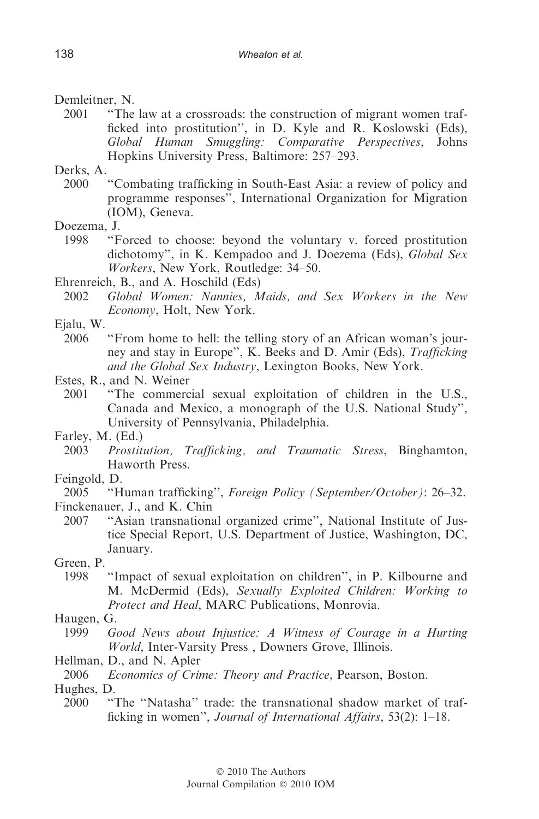#### Demleitner, N.

2001 ''The law at a crossroads: the construction of migrant women trafficked into prostitution'', in D. Kyle and R. Koslowski (Eds), Global Human Smuggling: Comparative Perspectives, Johns Hopkins University Press, Baltimore: 257–293.

Derks, A.

- 2000 ''Combating trafficking in South-East Asia: a review of policy and programme responses'', International Organization for Migration (IOM), Geneva.
- Doezema, J.
	- 1998 ''Forced to choose: beyond the voluntary v. forced prostitution dichotomy'', in K. Kempadoo and J. Doezema (Eds), Global Sex Workers, New York, Routledge: 34–50.
- Ehrenreich, B., and A. Hoschild (Eds)
	- 2002 Global Women: Nannies, Maids, and Sex Workers in the New Economy, Holt, New York.
- Ejalu, W.
	- 2006 ''From home to hell: the telling story of an African woman's journey and stay in Europe'', K. Beeks and D. Amir (Eds), Trafficking and the Global Sex Industry, Lexington Books, New York.
- Estes, R., and N. Weiner
	- 2001 ''The commercial sexual exploitation of children in the U.S., Canada and Mexico, a monograph of the U.S. National Study'', University of Pennsylvania, Philadelphia.
- Farley, M. (Ed.)<br>2003 *Prostitu* 
	- Prostitution, Trafficking, and Traumatic Stress, Binghamton, Haworth Press.
- Feingold, D.

2005 ''Human trafficking'', Foreign Policy (September⁄October): 26–32.

- Finckenauer, J., and K. Chin
	- 2007 ''Asian transnational organized crime'', National Institute of Justice Special Report, U.S. Department of Justice, Washington, DC, January.

Green, P.

1998 ''Impact of sexual exploitation on children'', in P. Kilbourne and M. McDermid (Eds), Sexually Exploited Children: Working to Protect and Heal, MARC Publications, Monrovia.

#### Haugen, G.

Hellman, D., and N. Apler

2006 Economics of Crime: Theory and Practice, Pearson, Boston.

Hughes, D.

2000 ''The ''Natasha'' trade: the transnational shadow market of trafficking in women'', Journal of International Affairs, 53(2): 1–18.

<sup>1999</sup> Good News about Injustice: A Witness of Courage in a Hurting World, Inter-Varsity Press , Downers Grove, Illinois.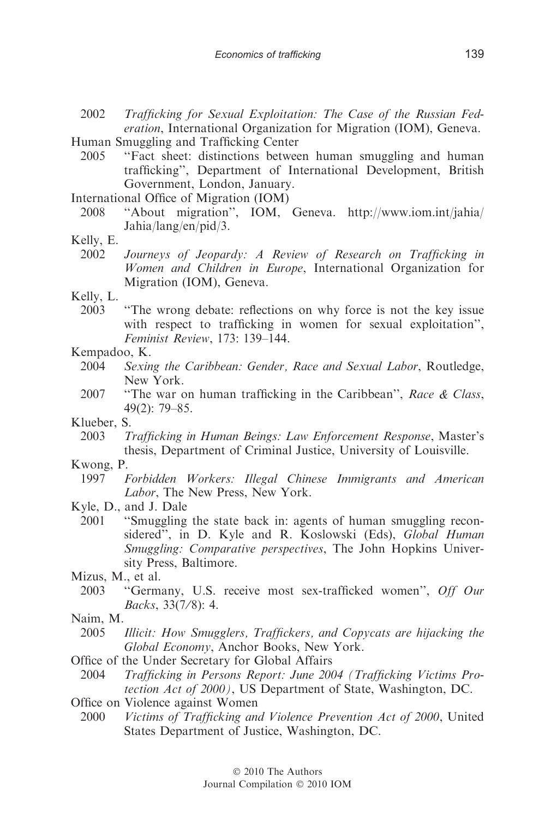- 2002 Trafficking for Sexual Exploitation: The Case of the Russian Federation, International Organization for Migration (IOM), Geneva.
- Human Smuggling and Trafficking Center
	- 2005 ''Fact sheet: distinctions between human smuggling and human trafficking'', Department of International Development, British Government, London, January.
- International Office of Migration (IOM)
- 2008 ''About migration'', IOM, Geneva. http://www.iom.int/jahia/ Jahia/lang/en/pid/3.
- Kelly, E.
	- 2002 Journeys of Jeopardy: A Review of Research on Trafficking in Women and Children in Europe, International Organization for Migration (IOM), Geneva.
- Kelly, L.
	- 2003 ''The wrong debate: reflections on why force is not the key issue with respect to trafficking in women for sexual exploitation'', Feminist Review, 173: 139–144.
- Kempadoo, K.
	- 2004 Sexing the Caribbean: Gender, Race and Sexual Labor, Routledge, New York.
	- 2007 "The war on human trafficking in the Caribbean", Race  $\&$  Class, 49(2): 79–85.
- Klueber, S.
	- 2003 Trafficking in Human Beings: Law Enforcement Response, Master's thesis, Department of Criminal Justice, University of Louisville.
- Kwong, P.
	- 1997 Forbidden Workers: Illegal Chinese Immigrants and American Labor, The New Press, New York.
- Kyle, D., and J. Dale<br>2001 "Smuggling"
	- "Smuggling the state back in: agents of human smuggling reconsidered", in D. Kyle and R. Koslowski (Eds), Global Human Smuggling: Comparative perspectives, The John Hopkins University Press, Baltimore.
- Mizus, M., et al.
	- 2003 ''Germany, U.S. receive most sex-trafficked women'', Off Our Backs, 33(7/8): 4.
- Naim, M.
	- 2005 Illicit: How Smugglers, Traffickers, and Copycats are hijacking the Global Economy, Anchor Books, New York.
- Office of the Under Secretary for Global Affairs
- 2004 Trafficking in Persons Report: June 2004 (Trafficking Victims Protection Act of 2000), US Department of State, Washington, DC.
- Office on Violence against Women
	- 2000 Victims of Trafficking and Violence Prevention Act of 2000, United States Department of Justice, Washington, DC.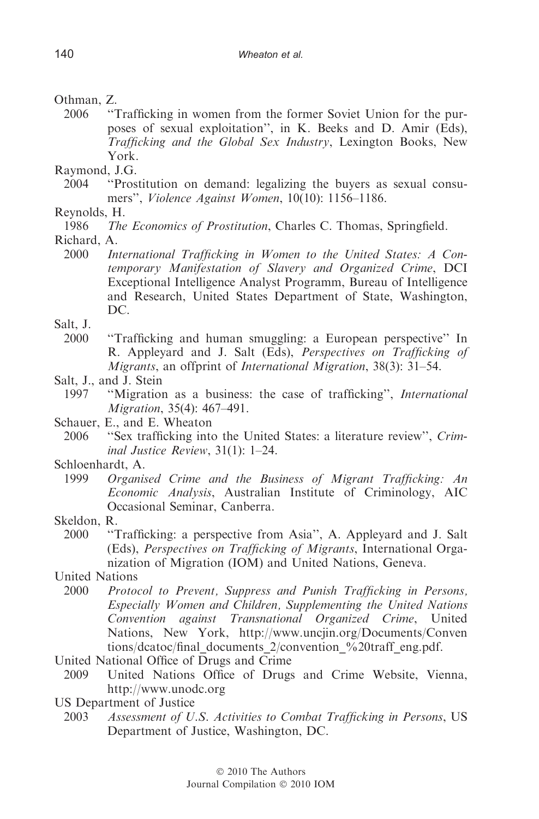## Othman, Z.<br>2006  $\cdot$

"Trafficking in women from the former Soviet Union for the purposes of sexual exploitation'', in K. Beeks and D. Amir (Eds), Trafficking and the Global Sex Industry, Lexington Books, New York.

Raymond, J.G.

- 2004 ''Prostitution on demand: legalizing the buyers as sexual consumers'', Violence Against Women, 10(10): 1156–1186.
- Reynolds, H.<br>1986 The

- Richard, A.
- 2000 International Trafficking in Women to the United States: A Contemporary Manifestation of Slavery and Organized Crime, DCI Exceptional Intelligence Analyst Programm, Bureau of Intelligence and Research, United States Department of State, Washington, DC.

Salt, J.

- 2000 ''Trafficking and human smuggling: a European perspective'' In R. Appleyard and J. Salt (Eds), Perspectives on Trafficking of Migrants, an offprint of International Migration, 38(3): 31–54.
- Salt, J., and J. Stein
	- 1997 ''Migration as a business: the case of trafficking'', International Migration, 35(4): 467–491.
- Schauer, E., and E. Wheaton
- 2006 ''Sex trafficking into the United States: a literature review'', Criminal Justice Review, 31(1): 1–24.
- Schloenhardt, A.
	- 1999 Organised Crime and the Business of Migrant Trafficking: An Economic Analysis, Australian Institute of Criminology, AIC Occasional Seminar, Canberra.
- Skeldon, R.
	- 2000 ''Trafficking: a perspective from Asia'', A. Appleyard and J. Salt (Eds), Perspectives on Trafficking of Migrants, International Organization of Migration (IOM) and United Nations, Geneva.
- United Nations
- 2000 Protocol to Prevent, Suppress and Punish Trafficking in Persons, Especially Women and Children, Supplementing the United Nations Convention against Transnational Organized Crime, United Nations, New York, http://www.uncjin.org/Documents/Conven tions/dcatoc/final\_documents\_2/convention\_%20traff\_eng.pdf.
- United National Office of Drugs and Crime
- 2009 United Nations Office of Drugs and Crime Website, Vienna, http://www.unodc.org
- US Department of Justice<br>2003 *Assessment of U* 
	- Assessment of U.S. Activities to Combat Trafficking in Persons, US Department of Justice, Washington, DC.

The Economics of Prostitution, Charles C. Thomas, Springfield.